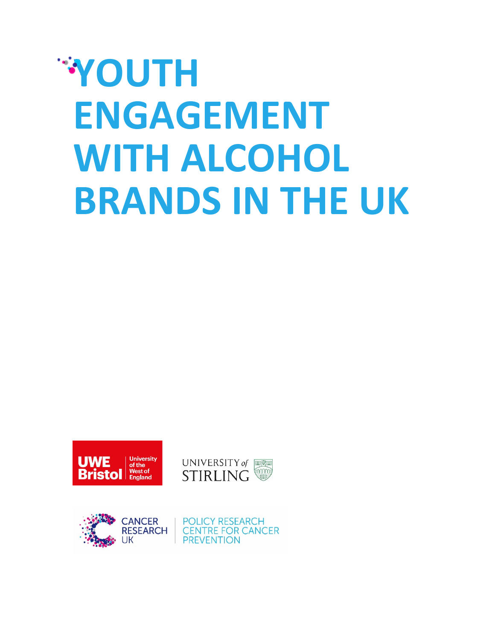# **YOUTH ENGAGEMENT WITH ALCOHOL BRANDS IN THE UK**







**POLICY RESEARCH CENTRE FOR CANCER PREVENTION**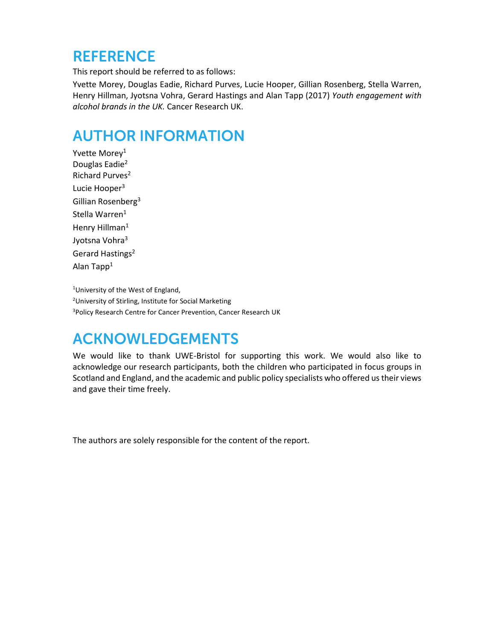#### **REFERENCE**

This report should be referred to as follows:

Yvette Morey, Douglas Eadie, Richard Purves, Lucie Hooper, Gillian Rosenberg, Stella Warren, Henry Hillman, Jyotsna Vohra, Gerard Hastings and Alan Tapp (2017) *Youth engagement with alcohol brands in the UK.* Cancer Research UK.

#### AUTHOR INFORMATION

Yvette Morey<sup>1</sup> Douglas Eadie<sup>2</sup> Richard Purves<sup>2</sup> Lucie Hooper<sup>3</sup> Gillian Rosenberg<sup>3</sup> Stella Warren<sup>1</sup> Henry Hillman<sup>1</sup> Jyotsna Vohra<sup>3</sup> Gerard Hastings<sup>2</sup> Alan Tapp<sup>1</sup>

<sup>1</sup>University of the West of England, <sup>2</sup>University of Stirling, Institute for Social Marketing <sup>3</sup>Policy Research Centre for Cancer Prevention, Cancer Research UK

#### ACKNOWLEDGEMENTS

We would like to thank UWE-Bristol for supporting this work. We would also like to acknowledge our research participants, both the children who participated in focus groups in Scotland and England, and the academic and public policy specialists who offered us their views and gave their time freely.

The authors are solely responsible for the content of the report.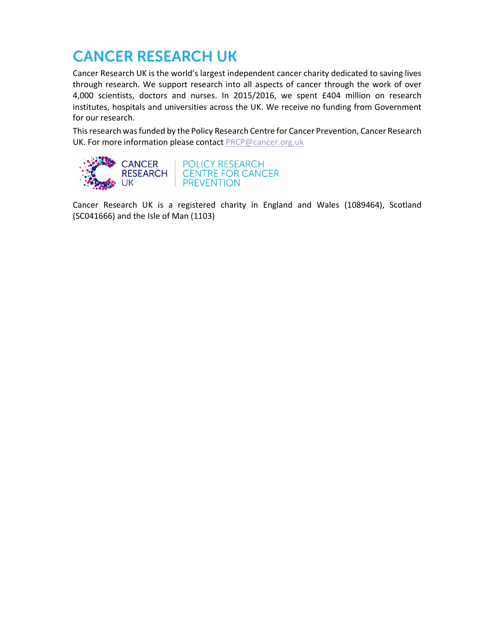#### CANCER RESEARCH UK

Cancer Research UK is the world's largest independent cancer charity dedicated to saving lives through research. We support research into all aspects of cancer through the work of over 4,000 scientists, doctors and nurses. In 2015/2016, we spent £404 million on research institutes, hospitals and universities across the UK. We receive no funding from Government for our research.

This research was funded by the Policy Research Centre for Cancer Prevention, Cancer Research UK. For more information please contact PRCP@cancer.org.uk



**POLICY RESEARCH CENTRE FOR CANCER PREVENTION** 

Cancer Research UK is a registered charity in England and Wales (1089464), Scotland (SC041666) and the Isle of Man (1103)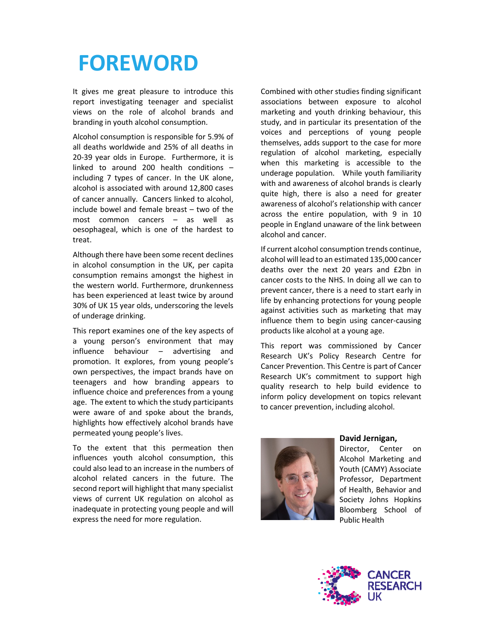### **FOREWORD**

It gives me great pleasure to introduce this report investigating teenager and specialist views on the role of alcohol brands and branding in youth alcohol consumption.

Alcohol consumption is responsible for 5.9% of all deaths worldwide and 25% of all deaths in 20-39 year olds in Europe. Furthermore, it is linked to around 200 health conditions – including 7 types of cancer. In the UK alone, alcohol is associated with around 12,800 cases of cancer annually. Cancers linked to alcohol, include bowel and female breast – two of the most common cancers – as well as oesophageal, which is one of the hardest to treat.

Although there have been some recent declines in alcohol consumption in the UK, per capita consumption remains amongst the highest in the western world. Furthermore, drunkenness has been experienced at least twice by around 30% of UK 15 year olds, underscoring the levels of underage drinking.

This report examines one of the key aspects of a young person's environment that may influence behaviour – advertising and promotion. It explores, from young people's own perspectives, the impact brands have on teenagers and how branding appears to influence choice and preferences from a young age. The extent to which the study participants were aware of and spoke about the brands, highlights how effectively alcohol brands have permeated young people's lives.

To the extent that this permeation then influences youth alcohol consumption, this could also lead to an increase in the numbers of alcohol related cancers in the future. The second report will highlight that many specialist views of current UK regulation on alcohol as inadequate in protecting young people and will express the need for more regulation.

Combined with other studies finding significant associations between exposure to alcohol marketing and youth drinking behaviour, this study, and in particular its presentation of the voices and perceptions of young people themselves, adds support to the case for more regulation of alcohol marketing, especially when this marketing is accessible to the underage population. While youth familiarity with and awareness of alcohol brands is clearly quite high, there is also a need for greater awareness of alcohol's relationship with cancer across the entire population, with 9 in 10 people in England unaware of the link between alcohol and cancer.

If current alcohol consumption trends continue, alcohol will lead to an estimated 135,000 cancer deaths over the next 20 years and £2bn in cancer costs to the NHS. In doing all we can to prevent cancer, there is a need to start early in life by enhancing protections for young people against activities such as marketing that may influence them to begin using cancer-causing products like alcohol at a young age.

This report was commissioned by Cancer Research UK's Policy Research Centre for Cancer Prevention. This Centre is part of Cancer Research UK's commitment to support high quality research to help build evidence to inform policy development on topics relevant to cancer prevention, including alcohol.



#### **David Jernigan,**

Director, Center on Alcohol Marketing and Youth (CAMY) Associate Professor, Department of Health, Behavior and Society Johns Hopkins Bloomberg School of Public Health

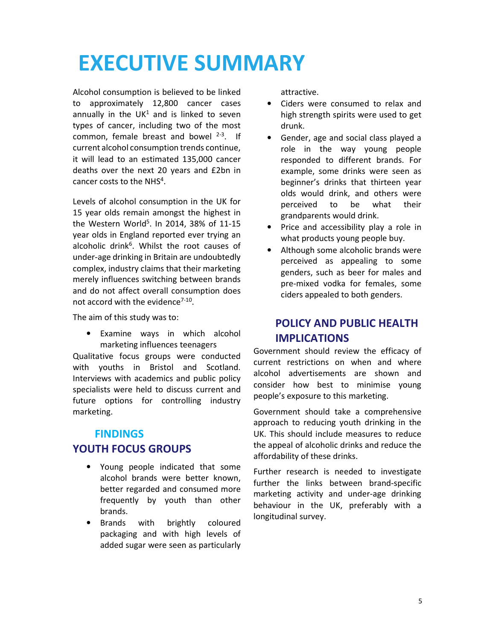# **EXECUTIVE SUMMARY**

Alcohol consumption is believed to be linked to approximately 12,800 cancer cases annually in the  $UK<sup>1</sup>$  and is linked to seven types of cancer, including two of the most common, female breast and bowel  $2-3$ . If current alcohol consumption trends continue, it will lead to an estimated 135,000 cancer deaths over the next 20 years and £2bn in cancer costs to the NHS<sup>4</sup>.

Levels of alcohol consumption in the UK for 15 year olds remain amongst the highest in the Western World<sup>5</sup>. In 2014, 38% of 11-15 year olds in England reported ever trying an alcoholic drink<sup>6</sup>. Whilst the root causes of under-age drinking in Britain are undoubtedly complex, industry claims that their marketing merely influences switching between brands and do not affect overall consumption does not accord with the evidence<sup>7-10</sup>.

The aim of this study was to:

• Examine ways in which alcohol marketing influences teenagers

Qualitative focus groups were conducted with youths in Bristol and Scotland. Interviews with academics and public policy specialists were held to discuss current and future options for controlling industry marketing.

#### **FINDINGS YOUTH FOCUS GROUPS**

- Young people indicated that some alcohol brands were better known, better regarded and consumed more frequently by youth than other brands.
- Brands with brightly coloured packaging and with high levels of added sugar were seen as particularly

attractive.

- Ciders were consumed to relax and high strength spirits were used to get drunk.
- Gender, age and social class played a role in the way young people responded to different brands. For example, some drinks were seen as beginner's drinks that thirteen year olds would drink, and others were perceived to be what their grandparents would drink.
- Price and accessibility play a role in what products young people buy.
- Although some alcoholic brands were perceived as appealing to some genders, such as beer for males and pre-mixed vodka for females, some ciders appealed to both genders.

#### **POLICY AND PUBLIC HEALTH IMPLICATIONS**

Government should review the efficacy of current restrictions on when and where alcohol advertisements are shown and consider how best to minimise young people's exposure to this marketing.

Government should take a comprehensive approach to reducing youth drinking in the UK. This should include measures to reduce the appeal of alcoholic drinks and reduce the affordability of these drinks.

Further research is needed to investigate further the links between brand-specific marketing activity and under-age drinking behaviour in the UK, preferably with a longitudinal survey.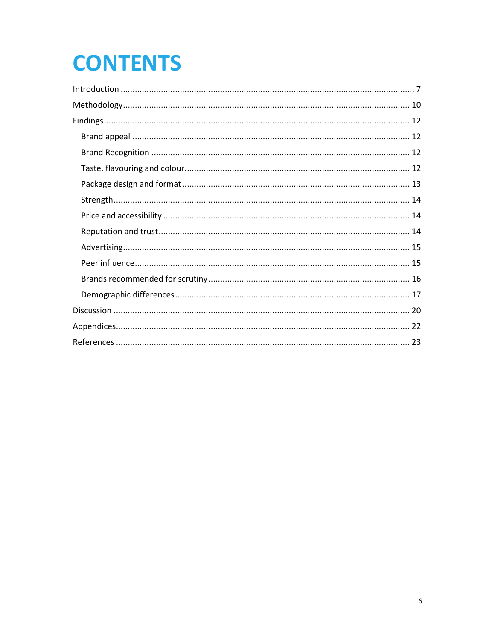# **CONTENTS**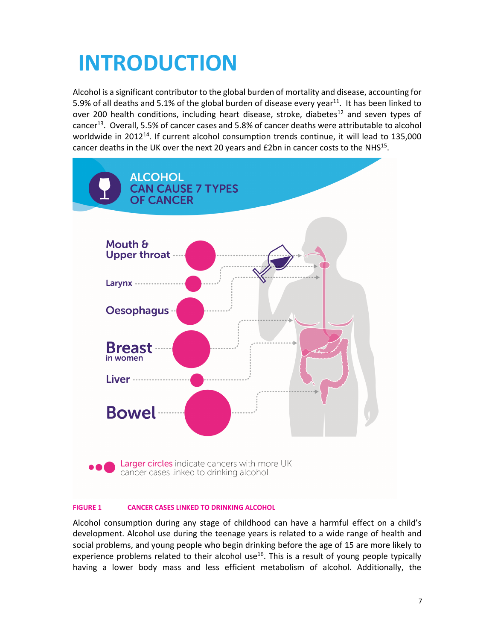# **INTRODUCTION**

Alcohol is a significant contributor to the global burden of mortality and disease, accounting for 5.9% of all deaths and 5.1% of the global burden of disease every year<sup>11</sup>. It has been linked to over 200 health conditions, including heart disease, stroke, diabetes<sup>12</sup> and seven types of cancer<sup>13</sup>. Overall, 5.5% of cancer cases and 5.8% of cancer deaths were attributable to alcohol worldwide in 2012<sup>14</sup>. If current alcohol consumption trends continue, it will lead to 135,000 cancer deaths in the UK over the next 20 years and  $E2$ bn in cancer costs to the NHS<sup>15</sup>.



#### **FIGURE 1 CANCER CASES LINKED TO DRINKING ALCOHOL**

Alcohol consumption during any stage of childhood can have a harmful effect on a child's development. Alcohol use during the teenage years is related to a wide range of health and social problems, and young people who begin drinking before the age of 15 are more likely to experience problems related to their alcohol use<sup>16</sup>. This is a result of young people typically having a lower body mass and less efficient metabolism of alcohol. Additionally, the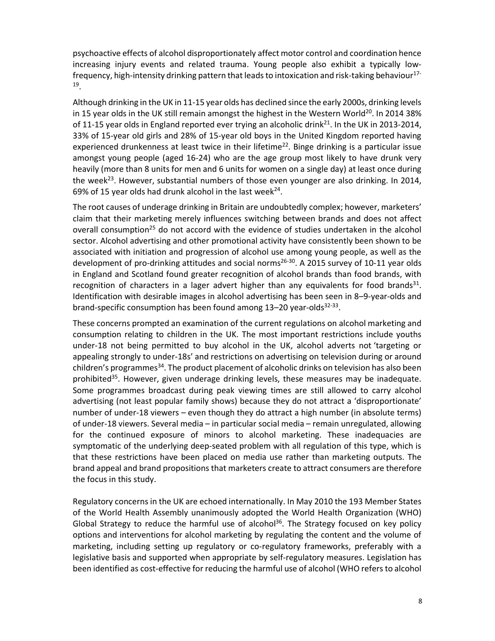psychoactive effects of alcohol disproportionately affect motor control and coordination hence increasing injury events and related trauma. Young people also exhibit a typically lowfrequency, high-intensity drinking pattern that leads to intoxication and risk-taking behaviour<sup>17-</sup> 19 .

Although drinking in the UK in 11-15 year olds has declined since the early 2000s, drinking levels in 15 year olds in the UK still remain amongst the highest in the Western World<sup>20</sup>. In 2014 38% of 11-15 year olds in England reported ever trying an alcoholic drink<sup>21</sup>. In the UK in 2013-2014, 33% of 15-year old girls and 28% of 15-year old boys in the United Kingdom reported having experienced drunkenness at least twice in their lifetime<sup>22</sup>. Binge drinking is a particular issue amongst young people (aged 16-24) who are the age group most likely to have drunk very heavily (more than 8 units for men and 6 units for women on a single day) at least once during the week<sup>23</sup>. However, substantial numbers of those even younger are also drinking. In 2014, 69% of 15 year olds had drunk alcohol in the last week $^{24}$ .

The root causes of underage drinking in Britain are undoubtedly complex; however, marketers' claim that their marketing merely influences switching between brands and does not affect overall consumption<sup>25</sup> do not accord with the evidence of studies undertaken in the alcohol sector. Alcohol advertising and other promotional activity have consistently been shown to be associated with initiation and progression of alcohol use among young people, as well as the development of pro-drinking attitudes and social norms<sup>26-30</sup>. A 2015 survey of 10-11 year olds in England and Scotland found greater recognition of alcohol brands than food brands, with recognition of characters in a lager advert higher than any equivalents for food brands<sup>31</sup>. Identification with desirable images in alcohol advertising has been seen in 8–9-year-olds and brand-specific consumption has been found among 13–20 year-olds<sup>32-33</sup>.

These concerns prompted an examination of the current regulations on alcohol marketing and consumption relating to children in the UK. The most important restrictions include youths under-18 not being permitted to buy alcohol in the UK, alcohol adverts not 'targeting or appealing strongly to under-18s' and restrictions on advertising on television during or around children's programmes<sup>34</sup>. The product placement of alcoholic drinks on television has also been prohibited $35$ . However, given underage drinking levels, these measures may be inadequate. Some programmes broadcast during peak viewing times are still allowed to carry alcohol advertising (not least popular family shows) because they do not attract a 'disproportionate' number of under-18 viewers – even though they do attract a high number (in absolute terms) of under-18 viewers. Several media – in particular social media – remain unregulated, allowing for the continued exposure of minors to alcohol marketing. These inadequacies are symptomatic of the underlying deep-seated problem with all regulation of this type, which is that these restrictions have been placed on media use rather than marketing outputs. The brand appeal and brand propositions that marketers create to attract consumers are therefore the focus in this study.

Regulatory concerns in the UK are echoed internationally. In May 2010 the 193 Member States of the World Health Assembly unanimously adopted the World Health Organization (WHO) Global Strategy to reduce the harmful use of alcohol<sup>36</sup>. The Strategy focused on key policy options and interventions for alcohol marketing by regulating the content and the volume of marketing, including setting up regulatory or co-regulatory frameworks, preferably with a legislative basis and supported when appropriate by self-regulatory measures. Legislation has been identified as cost-effective for reducing the harmful use of alcohol (WHO refers to alcohol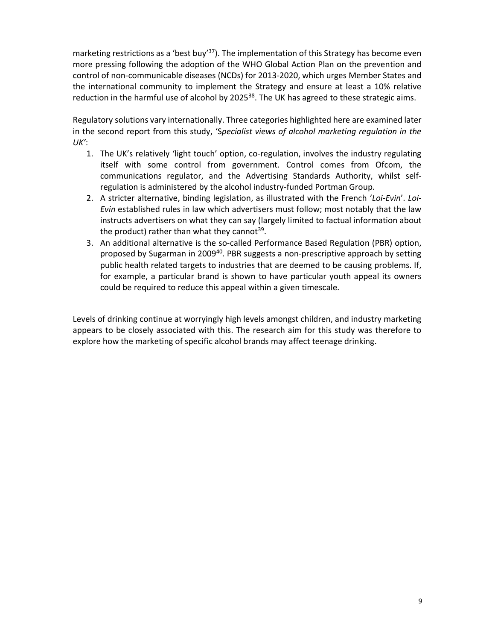marketing restrictions as a 'best buy'<sup>37</sup>). The implementation of this Strategy has become even more pressing following the adoption of the WHO Global Action Plan on the prevention and control of non-communicable diseases (NCDs) for 2013-2020, which urges Member States and the international community to implement the Strategy and ensure at least a 10% relative reduction in the harmful use of alcohol by 2025 $38$ . The UK has agreed to these strategic aims.

Regulatory solutions vary internationally. Three categories highlighted here are examined later in the second report from this study, 'S*pecialist views of alcohol marketing regulation in the UK'*:

- 1. The UK's relatively 'light touch' option, co-regulation, involves the industry regulating itself with some control from government. Control comes from Ofcom, the communications regulator, and the Advertising Standards Authority, whilst selfregulation is administered by the alcohol industry-funded Portman Group.
- 2. A stricter alternative, binding legislation, as illustrated with the French '*Loi-Evin*'. *Loi-Evin* established rules in law which advertisers must follow; most notably that the law instructs advertisers on what they can say (largely limited to factual information about the product) rather than what they cannot<sup>39</sup>.
- 3. An additional alternative is the so-called Performance Based Regulation (PBR) option, proposed by Sugarman in 2009<sup>40</sup>. PBR suggests a non-prescriptive approach by setting public health related targets to industries that are deemed to be causing problems. If, for example, a particular brand is shown to have particular youth appeal its owners could be required to reduce this appeal within a given timescale.

Levels of drinking continue at worryingly high levels amongst children, and industry marketing appears to be closely associated with this. The research aim for this study was therefore to explore how the marketing of specific alcohol brands may affect teenage drinking.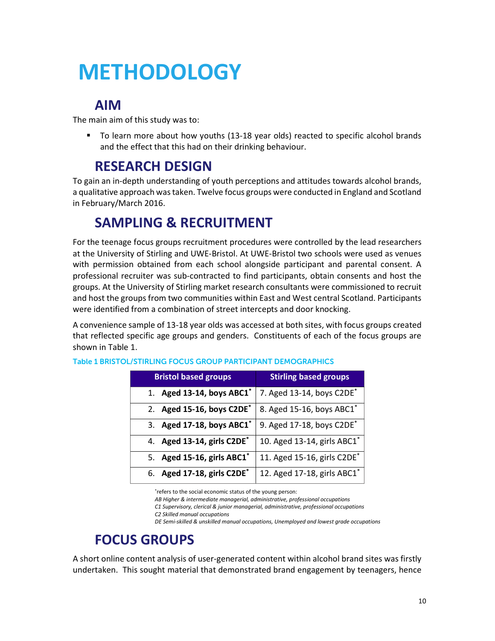# **METHODOLOGY**

#### **AIM**

The main aim of this study was to:

 To learn more about how youths (13-18 year olds) reacted to specific alcohol brands and the effect that this had on their drinking behaviour.

#### **RESEARCH DESIGN**

To gain an in-depth understanding of youth perceptions and attitudes towards alcohol brands, a qualitative approach was taken. Twelve focus groups were conducted in England and Scotland in February/March 2016.

#### **SAMPLING & RECRUITMENT**

For the teenage focus groups recruitment procedures were controlled by the lead researchers at the University of Stirling and UWE-Bristol. At UWE-Bristol two schools were used as venues with permission obtained from each school alongside participant and parental consent. A professional recruiter was sub-contracted to find participants, obtain consents and host the groups. At the University of Stirling market research consultants were commissioned to recruit and host the groups from two communities within East and West central Scotland. Participants were identified from a combination of street intercepts and door knocking.

A convenience sample of 13-18 year olds was accessed at both sites, with focus groups created that reflected specific age groups and genders. Constituents of each of the focus groups are shown in Table 1.

| <b>Bristol based groups</b>   | <b>Stirling based groups</b>            |  |  |
|-------------------------------|-----------------------------------------|--|--|
| 1. Aged 13-14, boys $ABC1^*$  | 7. Aged 13-14, boys C2DE*               |  |  |
| 2. Aged 15-16, boys C2DE*     | 8. Aged 15-16, boys ABC1*               |  |  |
| 3. Aged 17-18, boys ABC1*     | 9. Aged 17-18, boys C2DE <sup>*</sup>   |  |  |
| 4. Aged 13-14, girls C2DE*    | 10. Aged 13-14, girls ABC1*             |  |  |
| 5. Aged 15-16, girls $ABC1^*$ | 11. Aged 15-16, girls C2DE <sup>*</sup> |  |  |
| 6. Aged 17-18, girls C2DE*    | 12. Aged 17-18, girls ABC1*             |  |  |

|  | Table 1 BRISTOL/STIRLING FOCUS GROUP PARTICIPANT DEMOGRAPHICS |  |
|--|---------------------------------------------------------------|--|
|  |                                                               |  |

\* refers to the social economic status of the young person:

*AB Higher & intermediate managerial, administrative, professional occupations* 

*C1 Supervisory, clerical & junior managerial, administrative, professional occupations* 

*DE Semi-skilled & unskilled manual occupations, Unemployed and lowest grade occupations* 

#### **FOCUS GROUPS**

A short online content analysis of user-generated content within alcohol brand sites was firstly undertaken. This sought material that demonstrated brand engagement by teenagers, hence

*C2 Skilled manual occupations*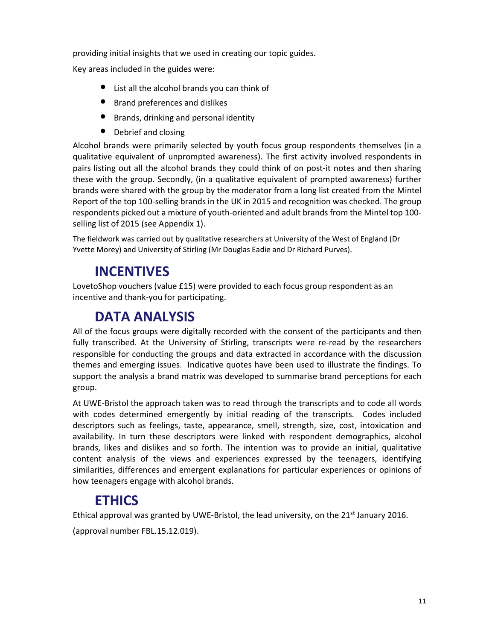providing initial insights that we used in creating our topic guides.

Key areas included in the guides were:

- List all the alcohol brands you can think of
- Brand preferences and dislikes
- Brands, drinking and personal identity
- Debrief and closing

Alcohol brands were primarily selected by youth focus group respondents themselves (in a qualitative equivalent of unprompted awareness). The first activity involved respondents in pairs listing out all the alcohol brands they could think of on post-it notes and then sharing these with the group. Secondly, (in a qualitative equivalent of prompted awareness) further brands were shared with the group by the moderator from a long list created from the Mintel Report of the top 100-selling brands in the UK in 2015 and recognition was checked. The group respondents picked out a mixture of youth-oriented and adult brands from the Mintel top 100 selling list of 2015 (see Appendix 1).

The fieldwork was carried out by qualitative researchers at University of the West of England (Dr Yvette Morey) and University of Stirling (Mr Douglas Eadie and Dr Richard Purves).

#### **INCENTIVES**

LovetoShop vouchers (value £15) were provided to each focus group respondent as an incentive and thank-you for participating.

#### **DATA ANALYSIS**

All of the focus groups were digitally recorded with the consent of the participants and then fully transcribed. At the University of Stirling, transcripts were re-read by the researchers responsible for conducting the groups and data extracted in accordance with the discussion themes and emerging issues. Indicative quotes have been used to illustrate the findings. To support the analysis a brand matrix was developed to summarise brand perceptions for each group.

At UWE-Bristol the approach taken was to read through the transcripts and to code all words with codes determined emergently by initial reading of the transcripts. Codes included descriptors such as feelings, taste, appearance, smell, strength, size, cost, intoxication and availability. In turn these descriptors were linked with respondent demographics, alcohol brands, likes and dislikes and so forth. The intention was to provide an initial, qualitative content analysis of the views and experiences expressed by the teenagers, identifying similarities, differences and emergent explanations for particular experiences or opinions of how teenagers engage with alcohol brands.

#### **ETHICS**

Ethical approval was granted by UWE-Bristol, the lead university, on the 21<sup>st</sup> January 2016.

(approval number FBL.15.12.019).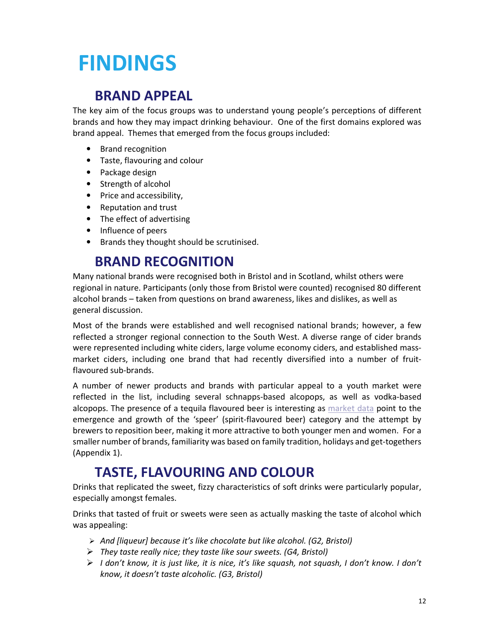# **FINDINGS**

#### **BRAND APPEAL**

The key aim of the focus groups was to understand young people's perceptions of different brands and how they may impact drinking behaviour. One of the first domains explored was brand appeal. Themes that emerged from the focus groups included:

- Brand recognition
- Taste, flavouring and colour
- Package design
- Strength of alcohol
- Price and accessibility,
- Reputation and trust
- The effect of advertising
- Influence of peers
- Brands they thought should be scrutinised.

#### **BRAND RECOGNITION**

Many national brands were recognised both in Bristol and in Scotland, whilst others were regional in nature. Participants (only those from Bristol were counted) recognised 80 different alcohol brands – taken from questions on brand awareness, likes and dislikes, as well as general discussion.

Most of the brands were established and well recognised national brands; however, a few reflected a stronger regional connection to the South West. A diverse range of cider brands were represented including white ciders, large volume economy ciders, and established massmarket ciders, including one brand that had recently diversified into a number of fruitflavoured sub-brands.

A number of newer products and brands with particular appeal to a youth market were reflected in the list, including several schnapps-based alcopops, as well as vodka-based alcopops. The presence of a tequila flavoured beer is interesting as market data point to the emergence and growth of the 'speer' (spirit-flavoured beer) category and the attempt by brewers to reposition beer, making it more attractive to both younger men and women. For a smaller number of brands, familiarity was based on family tradition, holidays and get-togethers (Appendix 1).

#### **TASTE, FLAVOURING AND COLOUR**

Drinks that replicated the sweet, fizzy characteristics of soft drinks were particularly popular, especially amongst females.

Drinks that tasted of fruit or sweets were seen as actually masking the taste of alcohol which was appealing:

- *And [liqueur] because it's like chocolate but like alcohol. (G2, Bristol)*
- *They taste really nice; they taste like sour sweets. (G4, Bristol)*
- *I don't know, it is just like, it is nice, it's like squash, not squash, I don't know. I don't know, it doesn't taste alcoholic. (G3, Bristol)*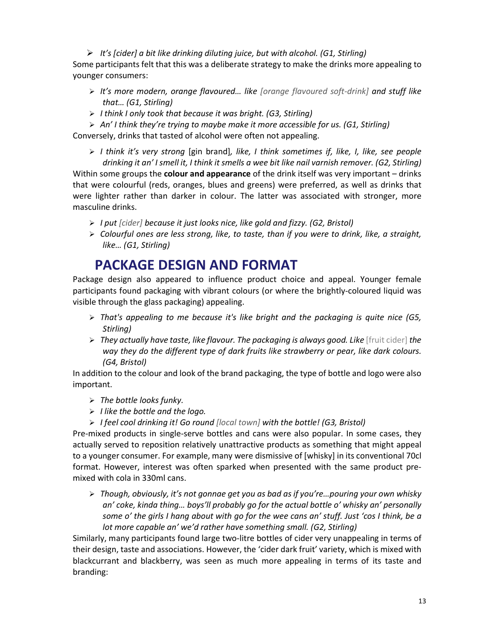- *It's [cider] a bit like drinking diluting juice, but with alcohol. (G1, Stirling)*

Some participants felt that this was a deliberate strategy to make the drinks more appealing to younger consumers:

- *It's more modern, orange flavoured… like [orange flavoured soft-drink] and stuff like that… (G1, Stirling)*
- *I think I only took that because it was bright. (G3, Stirling)*

- *An' I think they're trying to maybe make it more accessible for us. (G1, Stirling)*

Conversely, drinks that tasted of alcohol were often not appealing.

- *I think it's very strong* [gin brand]*, like, I think sometimes if, like, I, like, see people drinking it an' I smell it, I think it smells a wee bit like nail varnish remover. (G2, Stirling)* Within some groups the **colour and appearance** of the drink itself was very important – drinks that were colourful (reds, oranges, blues and greens) were preferred, as well as drinks that were lighter rather than darker in colour. The latter was associated with stronger, more masculine drinks.

- *I put [cider] because it just looks nice, like gold and fizzy. (G2, Bristol)*
- *Colourful ones are less strong, like, to taste, than if you were to drink, like, a straight, like… (G1, Stirling)*

#### **PACKAGE DESIGN AND FORMAT**

Package design also appeared to influence product choice and appeal. Younger female participants found packaging with vibrant colours (or where the brightly-coloured liquid was visible through the glass packaging) appealing.

- *That's appealing to me because it's like bright and the packaging is quite nice (G5, Stirling)*
- > They actually have taste, like flavour. The packaging is always good. Like [fruit cider] the *way they do the different type of dark fruits like strawberry or pear, like dark colours. (G4, Bristol)*

In addition to the colour and look of the brand packaging, the type of bottle and logo were also important.

- > The bottle looks funky.
- *I like the bottle and the logo.*
- *I feel cool drinking it! Go round [local town] with the bottle! (G3, Bristol)*

Pre-mixed products in single-serve bottles and cans were also popular. In some cases, they actually served to reposition relatively unattractive products as something that might appeal to a younger consumer. For example, many were dismissive of [whisky] in its conventional 70cl format. However, interest was often sparked when presented with the same product premixed with cola in 330ml cans.

- *Though, obviously, it's not gonnae get you as bad as if you're…pouring your own whisky an' coke, kinda thing… boys'll probably go for the actual bottle o' whisky an' personally some o' the girls I hang about with go for the wee cans an' stuff. Just 'cos I think, be a lot more capable an' we'd rather have something small. (G2, Stirling)* 

Similarly, many participants found large two-litre bottles of cider very unappealing in terms of their design, taste and associations. However, the 'cider dark fruit' variety, which is mixed with blackcurrant and blackberry, was seen as much more appealing in terms of its taste and branding: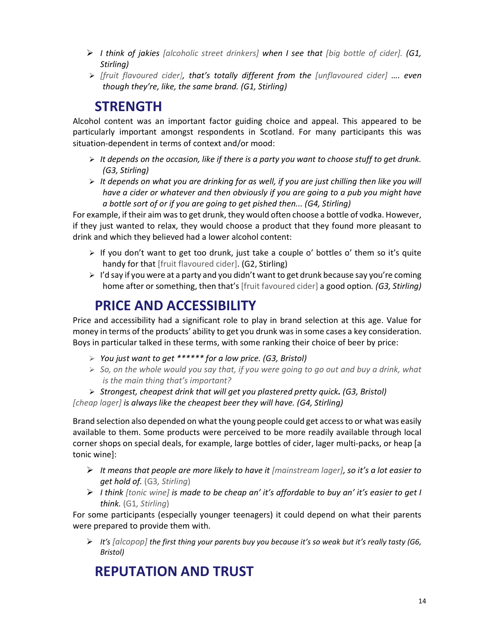- *I think of jakies [alcoholic street drinkers] when I see that [big bottle of cider]. (G1, Stirling)*
- *[fruit flavoured cider], that's totally different from the [unflavoured cider] …. even though they're, like, the same brand. (G1, Stirling)*

#### **STRENGTH**

Alcohol content was an important factor guiding choice and appeal. This appeared to be particularly important amongst respondents in Scotland. For many participants this was situation-dependent in terms of context and/or mood:

- *It depends on the occasion, like if there is a party you want to choose stuff to get drunk. (G3, Stirling)*
- *It depends on what you are drinking for as well, if you are just chilling then like you will have a cider or whatever and then obviously if you are going to a pub you might have a bottle sort of or if you are going to get pished then... (G4, Stirling)*

For example, if their aim was to get drunk, they would often choose a bottle of vodka. However, if they just wanted to relax, they would choose a product that they found more pleasant to drink and which they believed had a lower alcohol content:

- > If you don't want to get too drunk, just take a couple o' bottles o' them so it's quite handy for that [fruit flavoured cider]. (G2, Stirling)
- > I'd say if you were at a party and you didn't want to get drunk because say you're coming home after or something, then that's [fruit favoured cider] a good option*. (G3, Stirling)*

#### **PRICE AND ACCESSIBILITY**

Price and accessibility had a significant role to play in brand selection at this age. Value for money in terms of the products' ability to get you drunk was in some cases a key consideration. Boys in particular talked in these terms, with some ranking their choice of beer by price:

- *You just want to get \*\*\*\*\*\* for a low price. (G3, Bristol)*
- *So, on the whole would you say that, if you were going to go out and buy a drink, what is the main thing that's important?*
- *Strongest, cheapest drink that will get you plastered pretty quick. (G3, Bristol)*

*[cheap lager] is always like the cheapest beer they will have. (G4, Stirling)*

Brand selection also depended on what the young people could get access to or what was easily available to them. Some products were perceived to be more readily available through local corner shops on special deals, for example, large bottles of cider, lager multi-packs, or heap [a tonic wine]:

- *It means that people are more likely to have it [mainstream lager], so it's a lot easier to get hold of.* (G3*, Stirling*)
- *I think [tonic wine] is made to be cheap an' it's affordable to buy an' it's easier to get I think.* (G1*, Stirling*)

For some participants (especially younger teenagers) it could depend on what their parents were prepared to provide them with.

- *It's [alcopop] the first thing your parents buy you because it's so weak but it's really tasty (G6, Bristol)* 

#### **REPUTATION AND TRUST**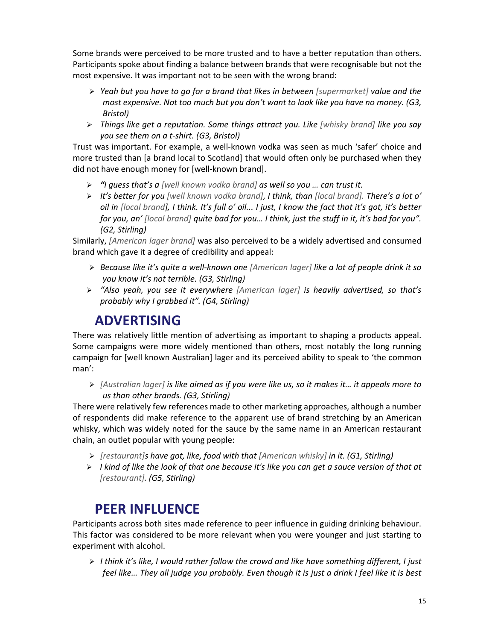Some brands were perceived to be more trusted and to have a better reputation than others. Participants spoke about finding a balance between brands that were recognisable but not the most expensive. It was important not to be seen with the wrong brand:

- *Yeah but you have to go for a brand that likes in between [supermarket] value and the most expensive. Not too much but you don't want to look like you have no money. (G3, Bristol)*
- *Things like get a reputation. Some things attract you. Like [whisky brand] like you say you see them on a t-shirt. (G3, Bristol)*

Trust was important. For example, a well-known vodka was seen as much 'safer' choice and more trusted than [a brand local to Scotland] that would often only be purchased when they did not have enough money for [well-known brand].

- *"I guess that's a [well known vodka brand] as well so you … can trust it.*
- *It's better for you [well known vodka brand], I think, than [local brand]. There's a lot o' oil in [local brand], I think. It's full o' oil... I just, I know the fact that it's got, it's better for you, an' [local brand] quite bad for you… I think, just the stuff in it, it's bad for you". (G2, Stirling)*

Similarly, *[American lager brand]* was also perceived to be a widely advertised and consumed brand which gave it a degree of credibility and appeal:

- *Because like it's quite a well-known one [American lager] like a lot of people drink it so you know it's not terrible. (G3, Stirling)*
- > "Also yeah, you see it everywhere [American lager] is heavily advertised, so that's *probably why I grabbed it". (G4, Stirling)*

#### **ADVERTISING**

There was relatively little mention of advertising as important to shaping a products appeal. Some campaigns were more widely mentioned than others, most notably the long running campaign for [well known Australian] lager and its perceived ability to speak to 'the common man':

- *[Australian lager] is like aimed as if you were like us, so it makes it… it appeals more to us than other brands. (G3, Stirling)*

There were relatively few references made to other marketing approaches, although a number of respondents did make reference to the apparent use of brand stretching by an American whisky, which was widely noted for the sauce by the same name in an American restaurant chain, an outlet popular with young people:

- *[restaurant]s have got, like, food with that [American whisky] in it. (G1, Stirling)*
- > I kind of like the look of that one because it's like you can get a sauce version of that at *[restaurant]. (G5, Stirling)*

#### **PEER INFLUENCE**

Participants across both sites made reference to peer influence in guiding drinking behaviour. This factor was considered to be more relevant when you were younger and just starting to experiment with alcohol.

- *I think it's like, I would rather follow the crowd and like have something different, I just feel like… They all judge you probably. Even though it is just a drink I feel like it is best*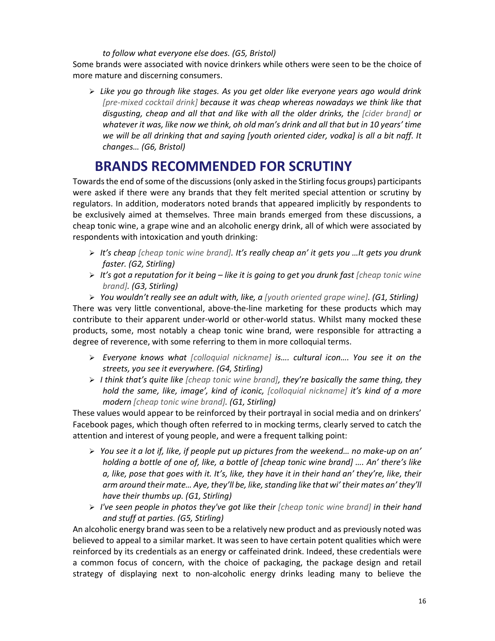#### *to follow what everyone else does. (G5, Bristol)*

Some brands were associated with novice drinkers while others were seen to be the choice of more mature and discerning consumers.

- *Like you go through like stages. As you get older like everyone years ago would drink [pre-mixed cocktail drink] because it was cheap whereas nowadays we think like that disgusting, cheap and all that and like with all the older drinks, the [cider brand] or whatever it was, like now we think, oh old man's drink and all that but in 10 years' time we will be all drinking that and saying [youth oriented cider, vodka] is all a bit naff. It changes… (G6, Bristol)* 

#### **BRANDS RECOMMENDED FOR SCRUTINY**

Towards the end of some of the discussions (only asked in the Stirling focus groups) participants were asked if there were any brands that they felt merited special attention or scrutiny by regulators. In addition, moderators noted brands that appeared implicitly by respondents to be exclusively aimed at themselves. Three main brands emerged from these discussions, a cheap tonic wine, a grape wine and an alcoholic energy drink, all of which were associated by respondents with intoxication and youth drinking:

- *It's cheap [cheap tonic wine brand]. It's really cheap an' it gets you …It gets you drunk faster. (G2, Stirling)*
- *It's got a reputation for it being like it is going to get you drunk fast [cheap tonic wine brand]. (G3, Stirling)*

- *You wouldn't really see an adult with, like, a [youth oriented grape wine]. (G1, Stirling)*  There was very little conventional, above-the-line marketing for these products which may contribute to their apparent under-world or other-world status. Whilst many mocked these products, some, most notably a cheap tonic wine brand, were responsible for attracting a degree of reverence, with some referring to them in more colloquial terms.

- *Everyone knows what [colloquial nickname] is…. cultural icon…. You see it on the streets, you see it everywhere. (G4, Stirling)*
- *I think that's quite like [cheap tonic wine brand], they're basically the same thing, they hold the same, like, image', kind of iconic, [colloquial nickname] it's kind of a more modern [cheap tonic wine brand]. (G1, Stirling)*

These values would appear to be reinforced by their portrayal in social media and on drinkers' Facebook pages, which though often referred to in mocking terms, clearly served to catch the attention and interest of young people, and were a frequent talking point:

- *You see it a lot if, like, if people put up pictures from the weekend… no make-up on an' holding a bottle of one of, like, a bottle of [cheap tonic wine brand] …. An' there's like a, like, pose that goes with it. It's, like, they have it in their hand an' they're, like, their arm around their mate… Aye, they'll be, like, standing like that wi' their mates an' they'll have their thumbs up. (G1, Stirling)*
- > I've seen people in photos they've got like their [cheap tonic wine brand] in their hand *and stuff at parties. (G5, Stirling)*

An alcoholic energy brand was seen to be a relatively new product and as previously noted was believed to appeal to a similar market. It was seen to have certain potent qualities which were reinforced by its credentials as an energy or caffeinated drink. Indeed, these credentials were a common focus of concern, with the choice of packaging, the package design and retail strategy of displaying next to non-alcoholic energy drinks leading many to believe the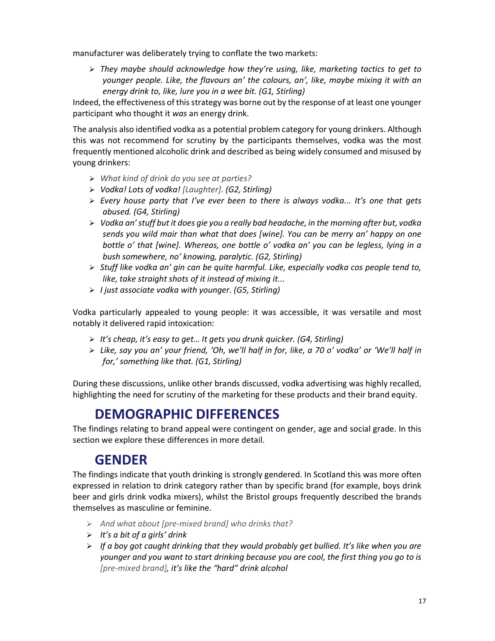manufacturer was deliberately trying to conflate the two markets:

> They maybe should acknowledge how they're using, like, marketing tactics to get to *younger people. Like, the flavours an' the colours, an', like, maybe mixing it with an energy drink to, like, lure you in a wee bit. (G1, Stirling)*

Indeed, the effectiveness of this strategy was borne out by the response of at least one younger participant who thought it *was* an energy drink.

The analysis also identified vodka as a potential problem category for young drinkers. Although this was not recommend for scrutiny by the participants themselves, vodka was the most frequently mentioned alcoholic drink and described as being widely consumed and misused by young drinkers:

- *What kind of drink do you see at parties?*
- *Vodka! Lots of vodka! [Laughter]*. *(G2, Stirling)*
- *Every house party that I've ever been to there is always vodka... It's one that gets abused. (G4, Stirling)*
- *Vodka an' stuff but it does gie you a really bad headache, in the morning after but, vodka sends you wild mair than what that does [wine]. You can be merry an' happy on one bottle o' that [wine]. Whereas, one bottle o' vodka an' you can be legless, lying in a bush somewhere, no' knowing, paralytic. (G2, Stirling)*
- *Stuff like vodka an' gin can be quite harmful. Like, especially vodka cos people tend to, like, take straight shots of it instead of mixing it...*
- *I just associate vodka with younger. (G5, Stirling)*

Vodka particularly appealed to young people: it was accessible, it was versatile and most notably it delivered rapid intoxication:

- *It's cheap, it's easy to get… It gets you drunk quicker. (G4, Stirling)*
- *Like, say you an' your friend, 'Oh, we'll half in for, like, a 70 o' vodka' or 'We'll half in for,' something like that. (G1, Stirling)*

During these discussions, unlike other brands discussed, vodka advertising was highly recalled, highlighting the need for scrutiny of the marketing for these products and their brand equity.

#### **DEMOGRAPHIC DIFFERENCES**

The findings relating to brand appeal were contingent on gender, age and social grade. In this section we explore these differences in more detail.

#### **GENDER**

The findings indicate that youth drinking is strongly gendered. In Scotland this was more often expressed in relation to drink category rather than by specific brand (for example, boys drink beer and girls drink vodka mixers), whilst the Bristol groups frequently described the brands themselves as masculine or feminine.

- *And what about [pre-mixed brand] who drinks that?*
- *It's a bit of a girls' drink*
- *If a boy got caught drinking that they would probably get bullied. It's like when you are younger and you want to start drinking because you are cool, the first thing you go to is [pre-mixed brand], it's like the "hard" drink alcohol*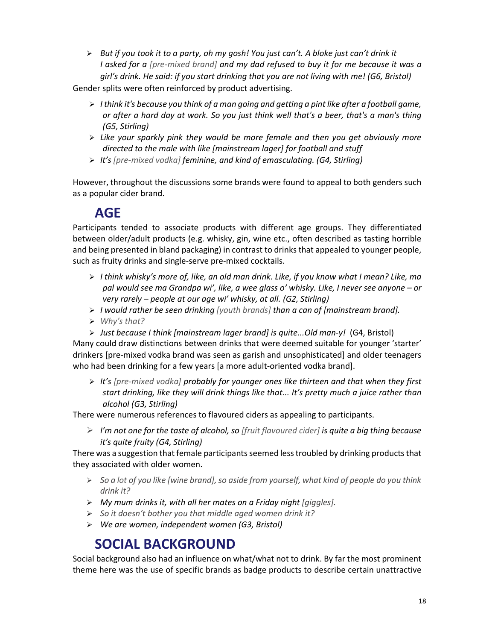> But if you took it to a party, oh my gosh! You just can't. A bloke just can't drink it *I* asked for a [pre-mixed brand] and my dad refused to buy it for me because it was a *girl's drink. He said: if you start drinking that you are not living with me! (G6, Bristol)* 

Gender splits were often reinforced by product advertising.

- *I think it's because you think of a man going and getting a pint like after a football game, or after a hard day at work. So you just think well that's a beer, that's a man's thing (G5, Stirling)*
- *Like your sparkly pink they would be more female and then you get obviously more directed to the male with like [mainstream lager] for football and stuff*
- *It's [pre-mixed vodka] feminine, and kind of emasculating. (G4, Stirling)*

However, throughout the discussions some brands were found to appeal to both genders such as a popular cider brand.

#### **AGE**

Participants tended to associate products with different age groups. They differentiated between older/adult products (e.g. whisky, gin, wine etc., often described as tasting horrible and being presented in bland packaging) in contrast to drinks that appealed to younger people, such as fruity drinks and single-serve pre-mixed cocktails.

- *I think whisky's more of, like, an old man drink. Like, if you know what I mean? Like, ma pal would see ma Grandpa wi', like, a wee glass o' whisky. Like, I never see anyone – or very rarely – people at our age wi' whisky, at all. (G2, Stirling)*
- *I would rather be seen drinking [youth brands] than a can of [mainstream brand].*
- *Why's that?*
- > Just because I think [mainstream lager brand] is quite...Old man-y! (G4, Bristol)

Many could draw distinctions between drinks that were deemed suitable for younger 'starter' drinkers [pre-mixed vodka brand was seen as garish and unsophisticated] and older teenagers who had been drinking for a few years [a more adult-oriented vodka brand].

> It's [pre-mixed vodka] probably for younger ones like thirteen and that when they first *start drinking, like they will drink things like that... It's pretty much a juice rather than alcohol (G3, Stirling)*

There were numerous references to flavoured ciders as appealing to participants.

- *I'm not one for the taste of alcohol, so [fruit flavoured cider] is quite a big thing because it's quite fruity (G4, Stirling)*

There was a suggestion that female participants seemed less troubled by drinking products that they associated with older women.

- *So a lot of you like [wine brand], so aside from yourself, what kind of people do you think drink it?*
- *My mum drinks it, with all her mates on a Friday night [giggles].*
- *So it doesn't bother you that middle aged women drink it?*
- *We are women, independent women (G3, Bristol)*

#### **SOCIAL BACKGROUND**

Social background also had an influence on what/what not to drink. By far the most prominent theme here was the use of specific brands as badge products to describe certain unattractive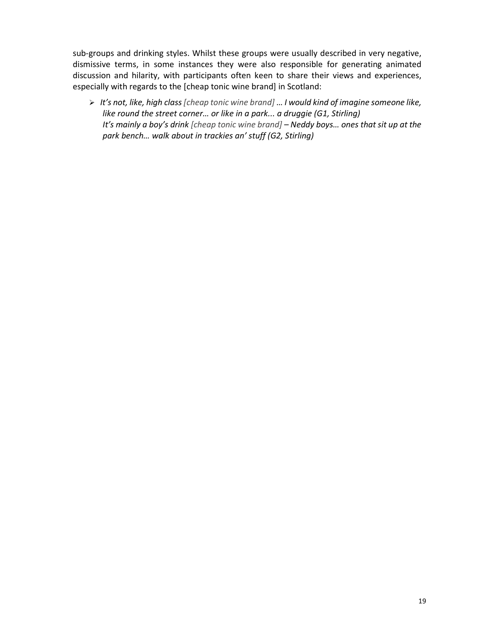sub-groups and drinking styles. Whilst these groups were usually described in very negative, dismissive terms, in some instances they were also responsible for generating animated discussion and hilarity, with participants often keen to share their views and experiences, especially with regards to the [cheap tonic wine brand] in Scotland:

- *It's not, like, high class [cheap tonic wine brand]* … *I would kind of imagine someone like, like round the street corner… or like in a park... a druggie (G1, Stirling) It's mainly a boy's drink [cheap tonic wine brand] – Neddy boys… ones that sit up at the park bench… walk about in trackies an' stuff (G2, Stirling)*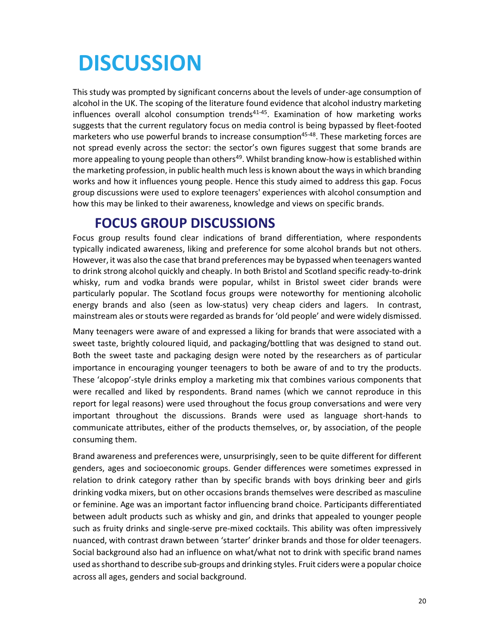# **DISCUSSION**

This study was prompted by significant concerns about the levels of under-age consumption of alcohol in the UK. The scoping of the literature found evidence that alcohol industry marketing influences overall alcohol consumption trends<sup>41-45</sup>. Examination of how marketing works suggests that the current regulatory focus on media control is being bypassed by fleet-footed marketers who use powerful brands to increase consumption<sup>45-48</sup>. These marketing forces are not spread evenly across the sector: the sector's own figures suggest that some brands are more appealing to young people than others<sup>49</sup>. Whilst branding know-how is established within the marketing profession, in public health much less is known about the ways in which branding works and how it influences young people. Hence this study aimed to address this gap. Focus group discussions were used to explore teenagers' experiences with alcohol consumption and how this may be linked to their awareness, knowledge and views on specific brands.

#### **FOCUS GROUP DISCUSSIONS**

Focus group results found clear indications of brand differentiation, where respondents typically indicated awareness, liking and preference for some alcohol brands but not others. However, it was also the case that brand preferences may be bypassed when teenagers wanted to drink strong alcohol quickly and cheaply. In both Bristol and Scotland specific ready-to-drink whisky, rum and vodka brands were popular, whilst in Bristol sweet cider brands were particularly popular. The Scotland focus groups were noteworthy for mentioning alcoholic energy brands and also (seen as low-status) very cheap ciders and lagers. In contrast, mainstream ales or stouts were regarded as brands for 'old people' and were widely dismissed.

Many teenagers were aware of and expressed a liking for brands that were associated with a sweet taste, brightly coloured liquid, and packaging/bottling that was designed to stand out. Both the sweet taste and packaging design were noted by the researchers as of particular importance in encouraging younger teenagers to both be aware of and to try the products. These 'alcopop'-style drinks employ a marketing mix that combines various components that were recalled and liked by respondents. Brand names (which we cannot reproduce in this report for legal reasons) were used throughout the focus group conversations and were very important throughout the discussions. Brands were used as language short-hands to communicate attributes, either of the products themselves, or, by association, of the people consuming them.

Brand awareness and preferences were, unsurprisingly, seen to be quite different for different genders, ages and socioeconomic groups. Gender differences were sometimes expressed in relation to drink category rather than by specific brands with boys drinking beer and girls drinking vodka mixers, but on other occasions brands themselves were described as masculine or feminine. Age was an important factor influencing brand choice. Participants differentiated between adult products such as whisky and gin, and drinks that appealed to younger people such as fruity drinks and single-serve pre-mixed cocktails. This ability was often impressively nuanced, with contrast drawn between 'starter' drinker brands and those for older teenagers. Social background also had an influence on what/what not to drink with specific brand names used as shorthand to describe sub-groups and drinking styles. Fruit ciders were a popular choice across all ages, genders and social background.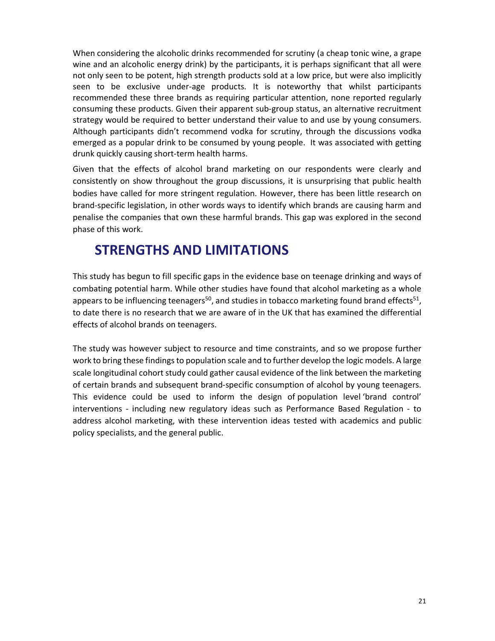When considering the alcoholic drinks recommended for scrutiny (a cheap tonic wine, a grape wine and an alcoholic energy drink) by the participants, it is perhaps significant that all were not only seen to be potent, high strength products sold at a low price, but were also implicitly seen to be exclusive under-age products. It is noteworthy that whilst participants recommended these three brands as requiring particular attention, none reported regularly consuming these products. Given their apparent sub-group status, an alternative recruitment strategy would be required to better understand their value to and use by young consumers. Although participants didn't recommend vodka for scrutiny, through the discussions vodka emerged as a popular drink to be consumed by young people. It was associated with getting drunk quickly causing short-term health harms.

Given that the effects of alcohol brand marketing on our respondents were clearly and consistently on show throughout the group discussions, it is unsurprising that public health bodies have called for more stringent regulation. However, there has been little research on brand-specific legislation, in other words ways to identify which brands are causing harm and penalise the companies that own these harmful brands. This gap was explored in the second phase of this work.

#### **STRENGTHS AND LIMITATIONS**

This study has begun to fill specific gaps in the evidence base on teenage drinking and ways of combating potential harm. While other studies have found that alcohol marketing as a whole appears to be influencing teenagers<sup>50</sup>, and studies in tobacco marketing found brand effects<sup>51</sup>, to date there is no research that we are aware of in the UK that has examined the differential effects of alcohol brands on teenagers.

The study was however subject to resource and time constraints, and so we propose further work to bring these findings to population scale and to further develop the logic models. A large scale longitudinal cohort study could gather causal evidence of the link between the marketing of certain brands and subsequent brand-specific consumption of alcohol by young teenagers. This evidence could be used to inform the design of population level 'brand control' interventions - including new regulatory ideas such as Performance Based Regulation - to address alcohol marketing, with these intervention ideas tested with academics and public policy specialists, and the general public.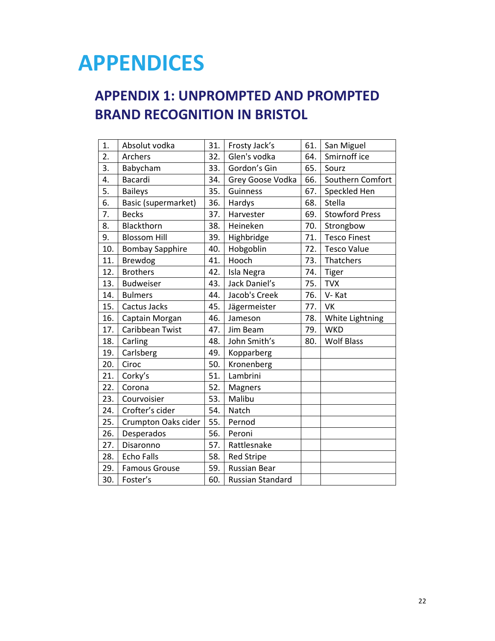## **APPENDICES**

#### **APPENDIX 1: UNPROMPTED AND PROMPTED BRAND RECOGNITION IN BRISTOL**

| 1.  | Absolut vodka          | 31. | Frosty Jack's       | 61. | San Miguel            |
|-----|------------------------|-----|---------------------|-----|-----------------------|
| 2.  | Archers                | 32. | Glen's vodka        | 64. | Smirnoff ice          |
| 3.  | Babycham               | 33. | Gordon's Gin        | 65. | Sourz                 |
| 4.  | <b>Bacardi</b>         | 34. | Grey Goose Vodka    | 66. | Southern Comfort      |
| 5.  | <b>Baileys</b>         | 35. | Guinness            | 67. | Speckled Hen          |
| 6.  | Basic (supermarket)    | 36. | Hardys              | 68. | Stella                |
| 7.  | <b>Becks</b>           | 37. | Harvester           | 69. | <b>Stowford Press</b> |
| 8.  | Blackthorn             | 38. | Heineken            | 70. | Strongbow             |
| 9.  | <b>Blossom Hill</b>    | 39. | Highbridge          | 71. | <b>Tesco Finest</b>   |
| 10. | <b>Bombay Sapphire</b> | 40. | Hobgoblin           | 72. | <b>Tesco Value</b>    |
| 11. | Brewdog                | 41. | Hooch               | 73. | Thatchers             |
| 12. | <b>Brothers</b>        | 42. | Isla Negra          | 74. | <b>Tiger</b>          |
| 13. | <b>Budweiser</b>       | 43. | Jack Daniel's       | 75. | <b>TVX</b>            |
| 14. | <b>Bulmers</b>         | 44. | Jacob's Creek       | 76. | V-Kat                 |
| 15. | Cactus Jacks           | 45. | Jägermeister        | 77. | <b>VK</b>             |
| 16. | Captain Morgan         | 46. | Jameson             | 78. | White Lightning       |
| 17. | Caribbean Twist        | 47. | Jim Beam            | 79. | <b>WKD</b>            |
| 18. | Carling                | 48. | John Smith's        | 80. | <b>Wolf Blass</b>     |
| 19. | Carlsberg              | 49. | Kopparberg          |     |                       |
| 20. | Ciroc                  | 50. | Kronenberg          |     |                       |
| 21. | Corky's                | 51. | Lambrini            |     |                       |
| 22. | Corona                 | 52. | Magners             |     |                       |
| 23. | Courvoisier            | 53. | Malibu              |     |                       |
| 24. | Crofter's cider        | 54. | Natch               |     |                       |
| 25. | Crumpton Oaks cider    | 55. | Pernod              |     |                       |
| 26. | Desperados             | 56. | Peroni              |     |                       |
| 27. | Disaronno              | 57. | Rattlesnake         |     |                       |
| 28. | <b>Echo Falls</b>      | 58. | <b>Red Stripe</b>   |     |                       |
| 29. | <b>Famous Grouse</b>   | 59. | <b>Russian Bear</b> |     |                       |
| 30. | Foster's               | 60. | Russian Standard    |     |                       |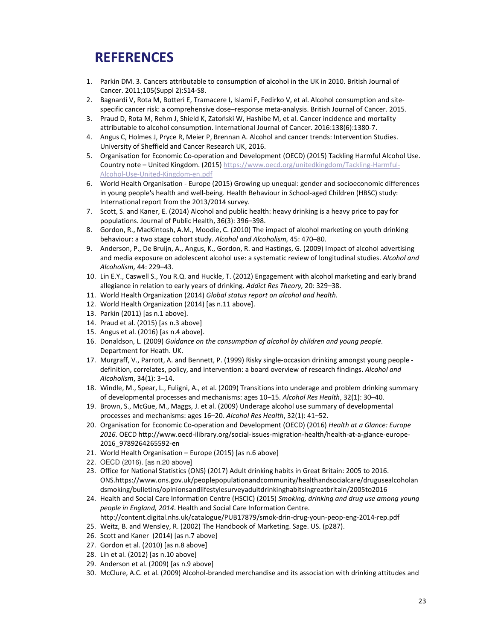#### **REFERENCES**

- 1. Parkin DM. 3. Cancers attributable to consumption of alcohol in the UK in 2010. British Journal of Cancer. 2011;105(Suppl 2):S14-S8.
- 2. Bagnardi V, Rota M, Botteri E, Tramacere I, Islami F, Fedirko V, et al. Alcohol consumption and sitespecific cancer risk: a comprehensive dose–response meta-analysis. British Journal of Cancer. 2015.
- 3. Praud D, Rota M, Rehm J, Shield K, Zatoński W, Hashibe M, et al. Cancer incidence and mortality attributable to alcohol consumption. International Journal of Cancer. 2016:138(6):1380-7.
- 4. Angus C, Holmes J, Pryce R, Meier P, Brennan A. Alcohol and cancer trends: Intervention Studies. University of Sheffield and Cancer Research UK, 2016.
- 5. Organisation for Economic Co-operation and Development (OECD) (2015) Tackling Harmful Alcohol Use. Country note - United Kingdom. (2015) https://www.oecd.org/unitedkingdom/Tackling-Harmful-Alcohol-Use-United-Kingdom-en.pdf
- 6. World Health Organisation Europe (2015) Growing up unequal: gender and socioeconomic differences in young people's health and well-being. Health Behaviour in School-aged Children (HBSC) study: International report from the 2013/2014 survey.
- 7. Scott, S. and Kaner, E. (2014) Alcohol and public health: heavy drinking is a heavy price to pay for populations. Journal of Public Health, 36(3): 396–398.
- 8. Gordon, R., MacKintosh, A.M., Moodie, C. (2010) The impact of alcohol marketing on youth drinking behaviour: a two stage cohort study. *Alcohol and Alcoholism,* 45: 470–80.
- 9. Anderson, P., De Bruijn, A., Angus, K., Gordon, R. and Hastings, G. (2009) Impact of alcohol advertising and media exposure on adolescent alcohol use: a systematic review of longitudinal studies. *Alcohol and Alcoholism,* 44: 229–43.
- 10. Lin E.Y., Caswell S., You R.Q. and Huckle, T. (2012) Engagement with alcohol marketing and early brand allegiance in relation to early years of drinking. *Addict Res Theory,* 20: 329–38.
- 11. World Health Organization (2014) *Global status report on alcohol and health.*
- 12. World Health Organization (2014) [as n.11 above].
- 13. Parkin (2011) [as n.1 above].
- 14. Praud et al. (2015) [as n.3 above]
- 15. Angus et al. (2016) [as n.4 above].
- 16. Donaldson, L. (2009) *Guidance on the consumption of alcohol by children and young people*. Department for Heath. UK.
- 17. Murgraff, V., Parrott, A. and Bennett, P. (1999) Risky single-occasion drinking amongst young people definition, correlates, policy, and intervention: a board overview of research findings. *Alcohol and Alcoholism*, 34(1): 3–14.
- 18. Windle, M., Spear, L., Fuligni, A., et al. (2009) Transitions into underage and problem drinking summary of developmental processes and mechanisms: ages 10–15. *Alcohol Res Health*, 32(1): 30–40.
- 19. Brown, S., McGue, M., Maggs, J. et al. (2009) Underage alcohol use summary of developmental processes and mechanisms: ages 16–20. *Alcohol Res Health*, 32(1): 41–52.
- 20. Organisation for Economic Co-operation and Development (OECD) (2016) *Health at a Glance: Europe 2016.* OECD http://www.oecd-ilibrary.org/social-issues-migration-health/health-at-a-glance-europe-2016\_9789264265592-en
- 21. World Health Organisation Europe (2015) [as n.6 above]
- 22. OECD (2016). [as n.20 above]
- 23. Office for National Statistics (ONS) (2017) Adult drinking habits in Great Britain: 2005 to 2016. ONS.https://www.ons.gov.uk/peoplepopulationandcommunity/healthandsocialcare/drugusealcoholan dsmoking/bulletins/opinionsandlifestylesurveyadultdrinkinghabitsingreatbritain/2005to2016
- 24. Health and Social Care Information Centre (HSCIC) (2015) *Smoking, drinking and drug use among young people in England, 2014*. Health and Social Care Information Centre. http://content.digital.nhs.uk/catalogue/PUB17879/smok-drin-drug-youn-peop-eng-2014-rep.pdf
- 25. Weitz, B. and Wensley, R. (2002) The Handbook of Marketing. Sage. US. (p287).
- 26. Scott and Kaner (2014) [as n.7 above]
- 27. Gordon et al. (2010) [as n.8 above]
- 28. Lin et al. (2012) [as n.10 above]
- 29. Anderson et al. (2009) [as n.9 above]
- 30. McClure, A.C. et al. (2009) Alcohol-branded merchandise and its association with drinking attitudes and